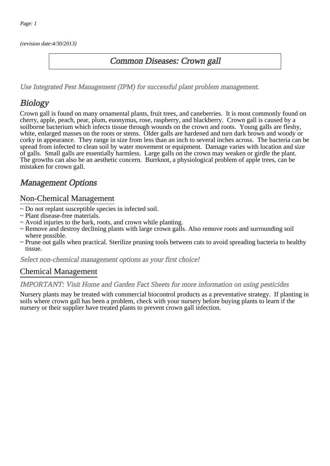(revision date:4/30/2013)

### Common Diseases: Crown gall

[Use Integrated Pest Management \(IPM\) for successful plant problem management.](http://pep.wsu.edu/Home_Garden/H_G_Pesticide_info/urban_Integrated_Pest_Managmen/)

## **Biology**

Crown gall is found on many ornamental plants, fruit trees, and caneberries. It is most commonly found on cherry, apple, peach, pear, plum, euonymus, rose, raspberry, and blackberry. Crown gall is caused by a soilborne bacterium which infects tissue through wounds on the crown and roots. Young galls are fleshy, white, enlarged masses on the roots or stems. Older galls are hardened and turn dark brown and woody or corky in appearance. They range in size from less than an inch to several inches across. The bacteria can be spread from infected to clean soil by water movement or equipment. Damage varies with location and size of galls. Small galls are essentially harmless. Large galls on the crown may weaken or girdle the plant. The growths can also be an aesthetic concern. Burrknot, a physiological problem of apple trees, can be mistaken for crown gall.

## Management Options

#### Non-Chemical Management

- ~ Do not replant susceptible species in infected soil.
- ~ Plant disease-free materials.
- ~ Avoid injuries to the bark, roots, and crown while planting.
- ~ Remove and destroy declining plants with large crown galls. Also remove roots and surrounding soil where possible.
- ~ Prune out galls when practical. Sterilize pruning tools between cuts to avoid spreading bacteria to healthy tissue.

Select non-chemical management options as your first choice!

#### Chemical Management

#### IMPORTANT: [Visit Home and Garden Fact Sheets for more information on using pesticides](http://pep.wsu.edu/Home_Garden/H_G_Pesticide_info/)

Nursery plants may be treated with commercial biocontrol products as a preventative strategy. If planting in soils where crown gall has been a problem, check with your nursery before buying plants to learn if the nursery or their supplier have treated plants to prevent crown gall infection.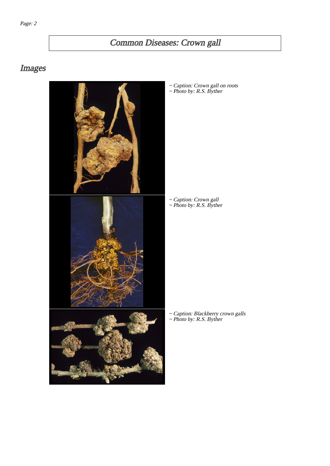# Common Diseases: Crown gall

## Images



~ Caption: Crown gall on roots ~ Photo by: R.S. Byther

~ Caption: Crown gall ~ Photo by: R.S. Byther

~ Caption: Blackberry crown galls ~ Photo by: R.S. Byther